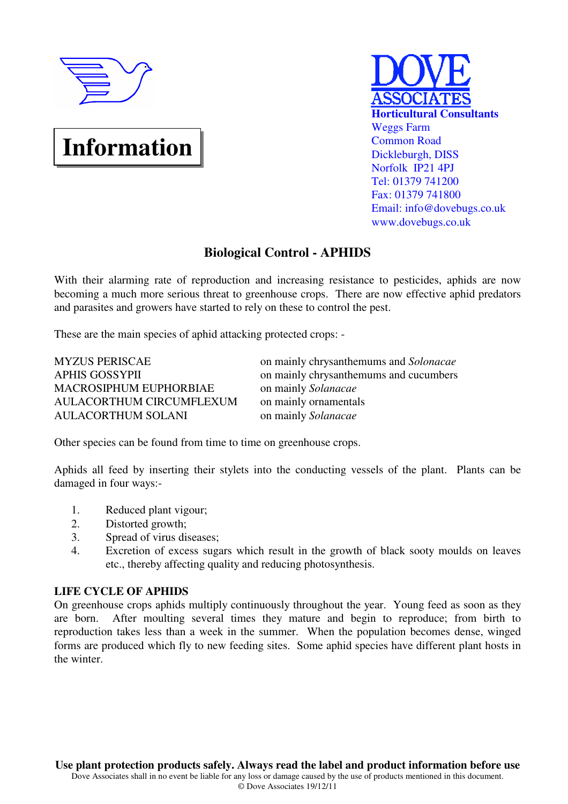

# **Information**



# **Biological Control - APHIDS**

With their alarming rate of reproduction and increasing resistance to pesticides, aphids are now becoming a much more serious threat to greenhouse crops. There are now effective aphid predators and parasites and growers have started to rely on these to control the pest.

These are the main species of aphid attacking protected crops: -

MACROSIPHUM EUPHORBIAE on mainly *Solanacae* AULACORTHUM CIRCUMFLEXUM on mainly ornamentals AULACORTHUM SOLANI on mainly *Solanacae*

MYZUS PERISCAE on mainly chrysanthemums and *Solonacae* APHIS GOSSYPII on mainly chrysanthemums and cucumbers

Other species can be found from time to time on greenhouse crops.

Aphids all feed by inserting their stylets into the conducting vessels of the plant. Plants can be damaged in four ways:-

- 1. Reduced plant vigour;
- 2. Distorted growth;
- 3. Spread of virus diseases;
- 4. Excretion of excess sugars which result in the growth of black sooty moulds on leaves etc., thereby affecting quality and reducing photosynthesis.

## **LIFE CYCLE OF APHIDS**

On greenhouse crops aphids multiply continuously throughout the year. Young feed as soon as they are born. After moulting several times they mature and begin to reproduce; from birth to reproduction takes less than a week in the summer. When the population becomes dense, winged forms are produced which fly to new feeding sites. Some aphid species have different plant hosts in the winter.